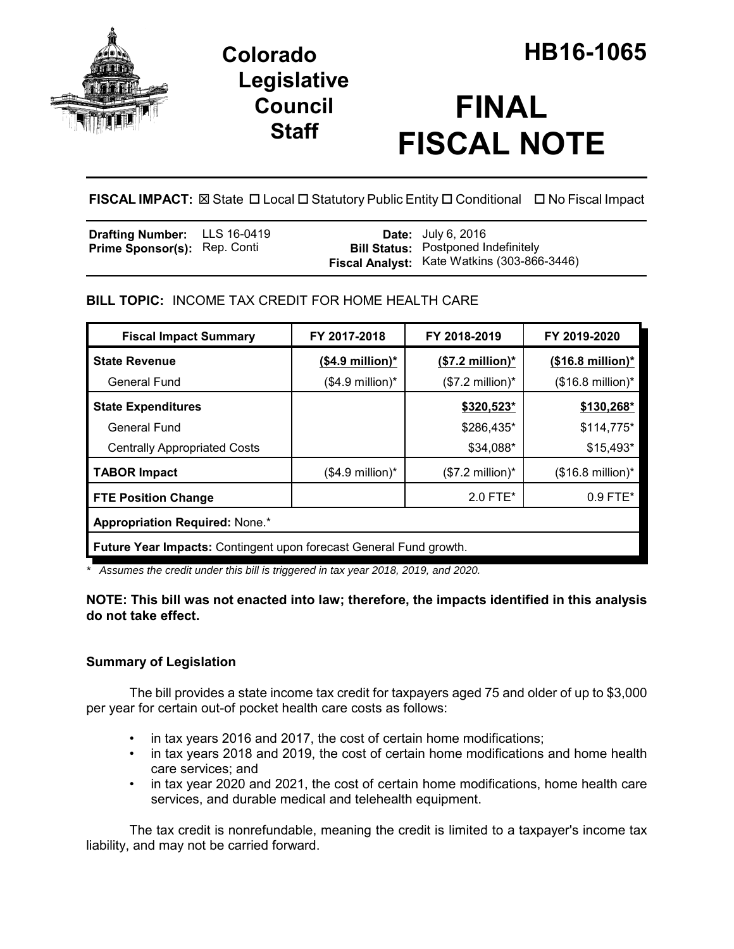

## **Legislative Council Staff**

# **FINAL FISCAL NOTE**

**FISCAL IMPACT:** ⊠ State □ Local □ Statutory Public Entity □ Conditional □ No Fiscal Impact

| <b>Drafting Number:</b> LLS 16-0419 |  | <b>Date:</b> July 6, 2016                   |
|-------------------------------------|--|---------------------------------------------|
| <b>Prime Sponsor(s): Rep. Conti</b> |  | <b>Bill Status:</b> Postponed Indefinitely  |
|                                     |  | Fiscal Analyst: Kate Watkins (303-866-3446) |

## **BILL TOPIC:** INCOME TAX CREDIT FOR HOME HEALTH CARE

| <b>Fiscal Impact Summary</b>                                       | FY 2017-2018         | FY 2018-2019               | FY 2019-2020                |  |  |
|--------------------------------------------------------------------|----------------------|----------------------------|-----------------------------|--|--|
| <b>State Revenue</b>                                               | $($4.9$ million)*    | $($7.2 \text{ million})^*$ | $($16.8 \text{ million})^*$ |  |  |
| General Fund                                                       | $($4.9$ million)*    | $($7.2$ million)*          | $($16.8 \text{ million})^*$ |  |  |
| <b>State Expenditures</b>                                          |                      | $$320,523*$                | \$130,268*                  |  |  |
| <b>General Fund</b>                                                |                      | \$286,435*                 | $$114,775$ *                |  |  |
| <b>Centrally Appropriated Costs</b>                                |                      | \$34,088*                  | $$15,493*$                  |  |  |
| <b>TABOR Impact</b>                                                | $($4.9$ million $)*$ | $($7.2 \text{ million})^*$ | $($16.8 \text{ million})^*$ |  |  |
| <b>FTE Position Change</b>                                         |                      | 2.0 FTE*                   | $0.9$ FTE*                  |  |  |
| Appropriation Required: None.*                                     |                      |                            |                             |  |  |
| Future Year Impacts: Contingent upon forecast General Fund growth. |                      |                            |                             |  |  |

*\* Assumes the credit under this bill is triggered in tax year 2018, 2019, and 2020.*

#### **NOTE: This bill was not enacted into law; therefore, the impacts identified in this analysis do not take effect.**

### **Summary of Legislation**

The bill provides a state income tax credit for taxpayers aged 75 and older of up to \$3,000 per year for certain out-of pocket health care costs as follows:

- in tax years 2016 and 2017, the cost of certain home modifications;
- in tax years 2018 and 2019, the cost of certain home modifications and home health care services; and
- in tax year 2020 and 2021, the cost of certain home modifications, home health care services, and durable medical and telehealth equipment.

The tax credit is nonrefundable, meaning the credit is limited to a taxpayer's income tax liability, and may not be carried forward.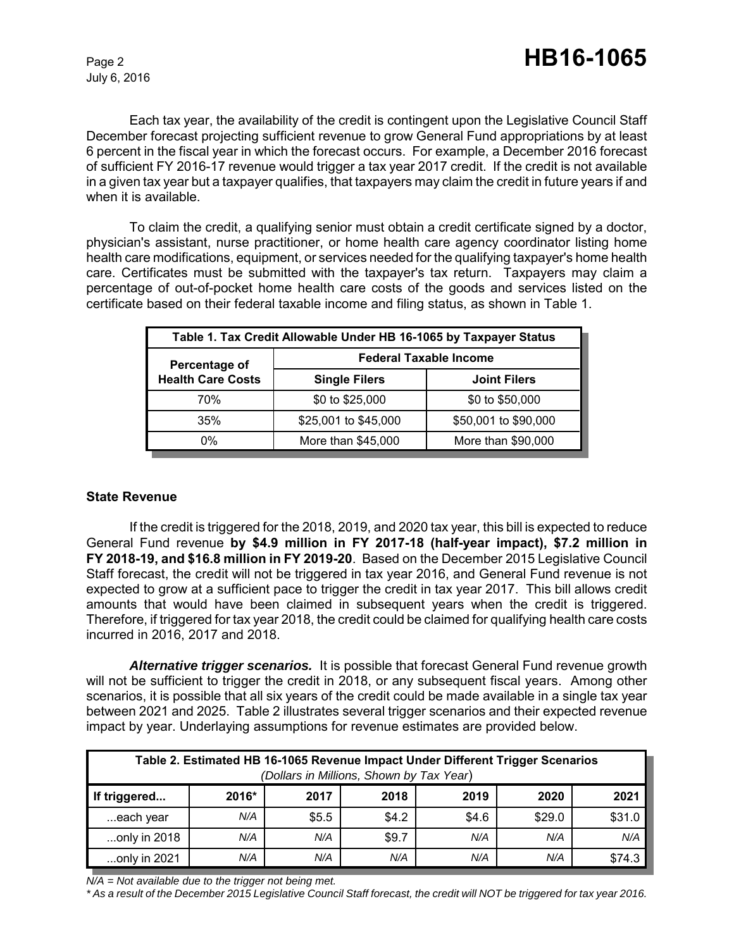Each tax year, the availability of the credit is contingent upon the Legislative Council Staff December forecast projecting sufficient revenue to grow General Fund appropriations by at least 6 percent in the fiscal year in which the forecast occurs. For example, a December 2016 forecast of sufficient FY 2016-17 revenue would trigger a tax year 2017 credit. If the credit is not available in a given tax year but a taxpayer qualifies, that taxpayers may claim the credit in future years if and when it is available.

To claim the credit, a qualifying senior must obtain a credit certificate signed by a doctor, physician's assistant, nurse practitioner, or home health care agency coordinator listing home health care modifications, equipment, or services needed for the qualifying taxpayer's home health care. Certificates must be submitted with the taxpayer's tax return. Taxpayers may claim a percentage of out-of-pocket home health care costs of the goods and services listed on the certificate based on their federal taxable income and filing status, as shown in Table 1.

| Table 1. Tax Credit Allowable Under HB 16-1065 by Taxpayer Status |                               |                      |  |  |
|-------------------------------------------------------------------|-------------------------------|----------------------|--|--|
| Percentage of                                                     | <b>Federal Taxable Income</b> |                      |  |  |
| <b>Health Care Costs</b>                                          | <b>Single Filers</b>          | <b>Joint Filers</b>  |  |  |
| <b>70%</b>                                                        | \$0 to \$25,000               | \$0 to \$50,000      |  |  |
| 35%                                                               | \$25,001 to \$45,000          | \$50,001 to \$90,000 |  |  |
| 0%                                                                | More than \$45,000            | More than \$90,000   |  |  |

#### **State Revenue**

If the credit is triggered for the 2018, 2019, and 2020 tax year, this bill is expected to reduce General Fund revenue **by \$4.9 million in FY 2017-18 (half-year impact), \$7.2 million in FY 2018-19, and \$16.8 million in FY 2019-20**. Based on the December 2015 Legislative Council Staff forecast, the credit will not be triggered in tax year 2016, and General Fund revenue is not expected to grow at a sufficient pace to trigger the credit in tax year 2017. This bill allows credit amounts that would have been claimed in subsequent years when the credit is triggered. Therefore, if triggered for tax year 2018, the credit could be claimed for qualifying health care costs incurred in 2016, 2017 and 2018.

*Alternative trigger scenarios.* It is possible that forecast General Fund revenue growth will not be sufficient to trigger the credit in 2018, or any subsequent fiscal years. Among other scenarios, it is possible that all six years of the credit could be made available in a single tax year between 2021 and 2025. Table 2 illustrates several trigger scenarios and their expected revenue impact by year. Underlaying assumptions for revenue estimates are provided below.

| Table 2. Estimated HB 16-1065 Revenue Impact Under Different Trigger Scenarios<br>(Dollars in Millions, Shown by Tax Year) |       |       |       |       |        |        |
|----------------------------------------------------------------------------------------------------------------------------|-------|-------|-------|-------|--------|--------|
| If triggered                                                                                                               | 2016* | 2017  | 2018  | 2019  | 2020   | 2021   |
| each year                                                                                                                  | N/A   | \$5.5 | \$4.2 | \$4.6 | \$29.0 | \$31.0 |
| only in 2018                                                                                                               | N/A   | N/A   | \$9.7 | N/A   | N/A    | N/A    |
| only in 2021                                                                                                               | N/A   | N/A   | N/A   | N/A   | N/A    | \$74.3 |

*N/A = Not available due to the trigger not being met.* 

*\* As a result of the December 2015 Legislative Council Staff forecast, the credit will NOT be triggered for tax year 2016.*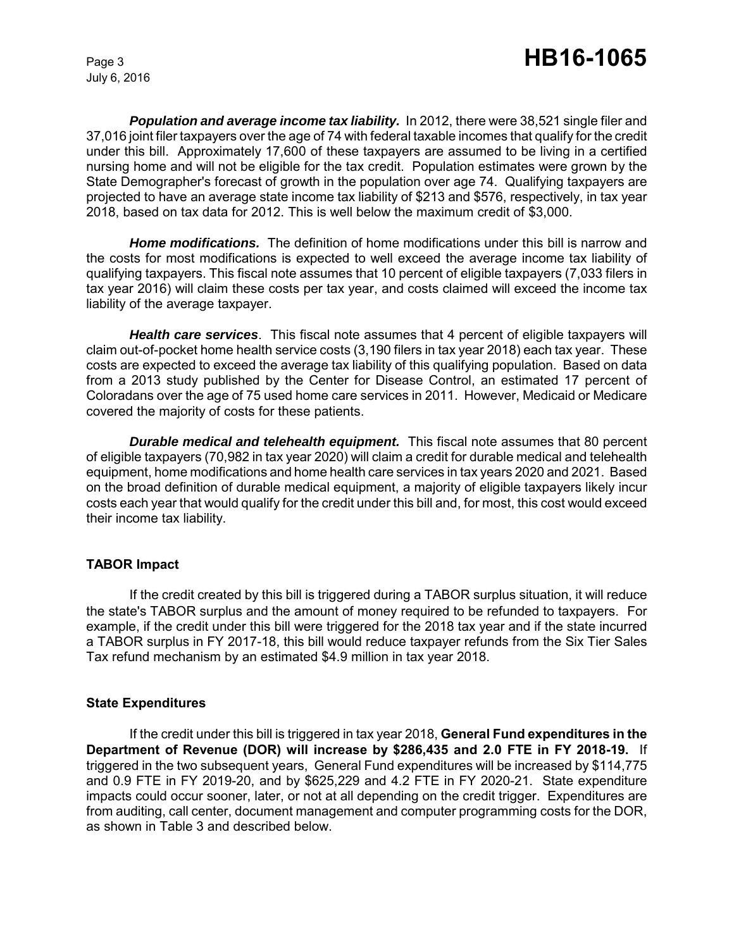**Population and average income tax liability.** In 2012, there were 38,521 single filer and 37,016 joint filer taxpayers over the age of 74 with federal taxable incomes that qualify for the credit under this bill. Approximately 17,600 of these taxpayers are assumed to be living in a certified nursing home and will not be eligible for the tax credit. Population estimates were grown by the State Demographer's forecast of growth in the population over age 74. Qualifying taxpayers are projected to have an average state income tax liability of \$213 and \$576, respectively, in tax year 2018, based on tax data for 2012. This is well below the maximum credit of \$3,000.

*Home modifications.* The definition of home modifications under this bill is narrow and the costs for most modifications is expected to well exceed the average income tax liability of qualifying taxpayers. This fiscal note assumes that 10 percent of eligible taxpayers (7,033 filers in tax year 2016) will claim these costs per tax year, and costs claimed will exceed the income tax liability of the average taxpayer.

*Health care services*. This fiscal note assumes that 4 percent of eligible taxpayers will claim out-of-pocket home health service costs (3,190 filers in tax year 2018) each tax year. These costs are expected to exceed the average tax liability of this qualifying population. Based on data from a 2013 study published by the Center for Disease Control, an estimated 17 percent of Coloradans over the age of 75 used home care services in 2011. However, Medicaid or Medicare covered the majority of costs for these patients.

*Durable medical and telehealth equipment.* This fiscal note assumes that 80 percent of eligible taxpayers (70,982 in tax year 2020) will claim a credit for durable medical and telehealth equipment, home modifications and home health care services in tax years 2020 and 2021. Based on the broad definition of durable medical equipment, a majority of eligible taxpayers likely incur costs each year that would qualify for the credit under this bill and, for most, this cost would exceed their income tax liability.

#### **TABOR Impact**

If the credit created by this bill is triggered during a TABOR surplus situation, it will reduce the state's TABOR surplus and the amount of money required to be refunded to taxpayers. For example, if the credit under this bill were triggered for the 2018 tax year and if the state incurred a TABOR surplus in FY 2017-18, this bill would reduce taxpayer refunds from the Six Tier Sales Tax refund mechanism by an estimated \$4.9 million in tax year 2018.

#### **State Expenditures**

If the credit under this bill is triggered in tax year 2018, **General Fund expenditures in the Department of Revenue (DOR) will increase by \$286,435 and 2.0 FTE in FY 2018-19.** If triggered in the two subsequent years, General Fund expenditures will be increased by \$114,775 and 0.9 FTE in FY 2019-20, and by \$625,229 and 4.2 FTE in FY 2020-21. State expenditure impacts could occur sooner, later, or not at all depending on the credit trigger. Expenditures are from auditing, call center, document management and computer programming costs for the DOR, as shown in Table 3 and described below.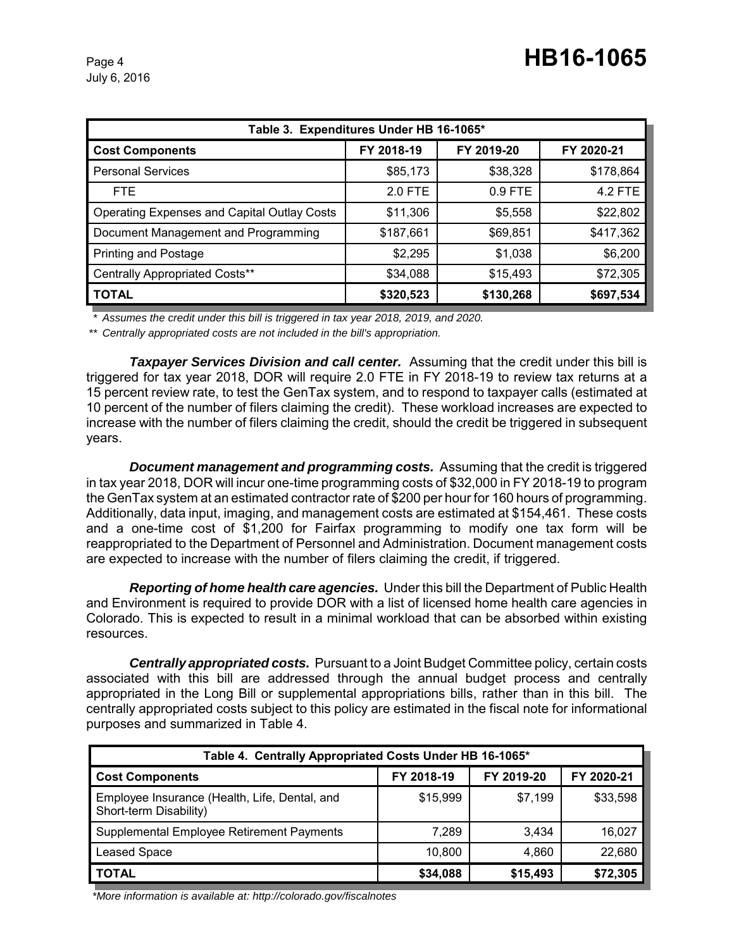| Table 3. Expenditures Under HB 16-1065*     |            |            |            |  |  |  |
|---------------------------------------------|------------|------------|------------|--|--|--|
| <b>Cost Components</b>                      | FY 2018-19 | FY 2019-20 | FY 2020-21 |  |  |  |
| <b>Personal Services</b>                    | \$85,173   | \$38,328   | \$178,864  |  |  |  |
| FTE.                                        | 2.0 FTE    | 0.9 FTE    | 4.2 FTE    |  |  |  |
| Operating Expenses and Capital Outlay Costs | \$11,306   | \$5,558    | \$22,802   |  |  |  |
| Document Management and Programming         | \$187,661  | \$69,851   | \$417,362  |  |  |  |
| <b>Printing and Postage</b>                 | \$2,295    | \$1,038    | \$6,200    |  |  |  |
| Centrally Appropriated Costs**              | \$34,088   | \$15,493   | \$72,305   |  |  |  |
| <b>TOTAL</b>                                | \$320,523  | \$130,268  | \$697,534  |  |  |  |

*\* Assumes the credit under this bill is triggered in tax year 2018, 2019, and 2020.*

*\*\* Centrally appropriated costs are not included in the bill's appropriation.*

*Taxpayer Services Division and call center.* Assuming that the credit under this bill is triggered for tax year 2018, DOR will require 2.0 FTE in FY 2018-19 to review tax returns at a 15 percent review rate, to test the GenTax system, and to respond to taxpayer calls (estimated at 10 percent of the number of filers claiming the credit). These workload increases are expected to increase with the number of filers claiming the credit, should the credit be triggered in subsequent years.

*Document management and programming costs.* Assuming that the credit is triggered in tax year 2018, DOR will incur one-time programming costs of \$32,000 in FY 2018-19 to program the GenTax system at an estimated contractor rate of \$200 per hour for 160 hours of programming. Additionally, data input, imaging, and management costs are estimated at \$154,461. These costs and a one-time cost of \$1,200 for Fairfax programming to modify one tax form will be reappropriated to the Department of Personnel and Administration. Document management costs are expected to increase with the number of filers claiming the credit, if triggered.

*Reporting of home health care agencies.* Under this bill the Department of Public Health and Environment is required to provide DOR with a list of licensed home health care agencies in Colorado. This is expected to result in a minimal workload that can be absorbed within existing resources.

*Centrally appropriated costs.* Pursuant to a Joint Budget Committee policy, certain costs associated with this bill are addressed through the annual budget process and centrally appropriated in the Long Bill or supplemental appropriations bills, rather than in this bill. The centrally appropriated costs subject to this policy are estimated in the fiscal note for informational purposes and summarized in Table 4.

| Table 4. Centrally Appropriated Costs Under HB 16-1065*                 |            |            |            |  |  |  |
|-------------------------------------------------------------------------|------------|------------|------------|--|--|--|
| <b>Cost Components</b>                                                  | FY 2018-19 | FY 2019-20 | FY 2020-21 |  |  |  |
| Employee Insurance (Health, Life, Dental, and<br>Short-term Disability) | \$15,999   | \$7,199    | \$33,598   |  |  |  |
| Supplemental Employee Retirement Payments                               | 7.289      | 3,434      | 16,027     |  |  |  |
| <b>Leased Space</b>                                                     | 10,800     | 4,860      | 22,680     |  |  |  |
| <b>TOTAL</b>                                                            | \$34,088   | \$15,493   | \$72,305   |  |  |  |

 *\*More information is available at: http://colorado.gov/fiscalnotes*